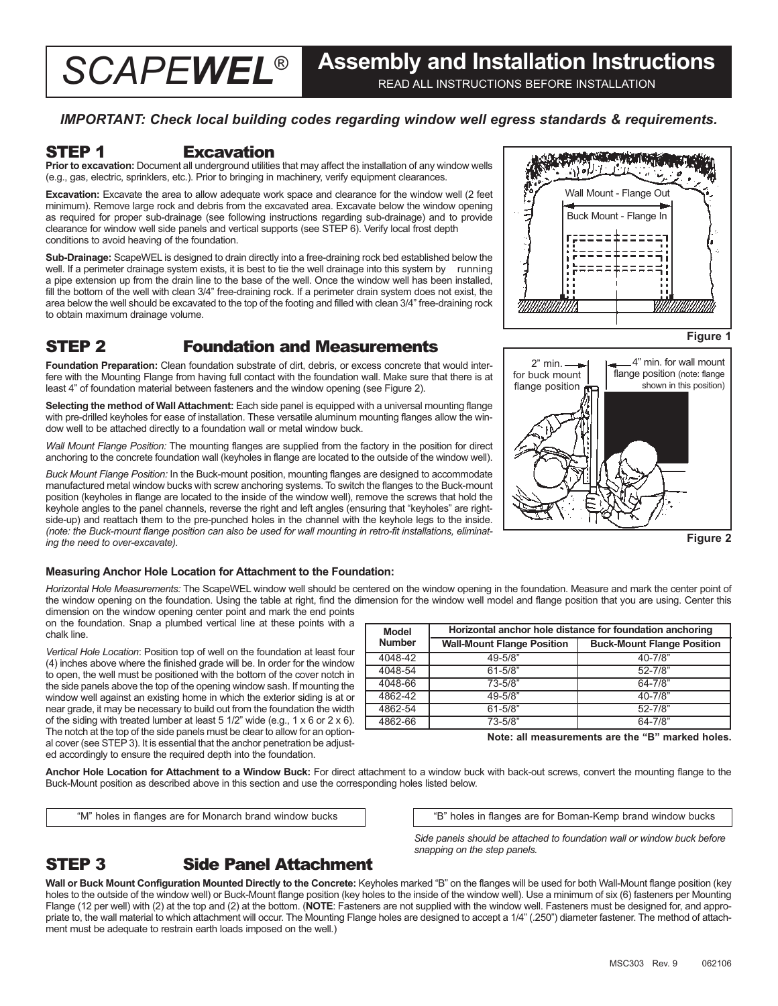## *IMPORTANT: Check local building codes regarding window well egress standards & requirements.*

## STEP 1 Excavation

**Prior to excavation:** Document all underground utilities that may affect the installation of any window wells (e.g., gas, electric, sprinklers, etc.). Prior to bringing in machinery, verify equipment clearances.

**Excavation:** Excavate the area to allow adequate work space and clearance for the window well (2 feet minimum). Remove large rock and debris from the excavated area. Excavate below the window opening as required for proper sub-drainage (see following instructions regarding sub-drainage) and to provide clearance for window well side panels and vertical supports (see STEP 6). Verify local frost depth conditions to avoid heaving of the foundation.

**Sub-Drainage:** ScapeWEL is designed to drain directly into a free-draining rock bed established below the well. If a perimeter drainage system exists, it is best to tie the well drainage into this system by running a pipe extension up from the drain line to the base of the well. Once the window well has been installed, fill the bottom of the well with clean 3/4" free-draining rock. If a perimeter drain system does not exist, the area below the well should be excavated to the top of the footing and filled with clean 3/4" free-draining rock to obtain maximum drainage volume.

# STEP 2 Foundation and Measurements

**Foundation Preparation:** Clean foundation substrate of dirt, debris, or excess concrete that would interfere with the Mounting Flange from having full contact with the foundation wall. Make sure that there is at least 4" of foundation material between fasteners and the window opening (see Figure 2).

**Selecting the method of Wall Attachment:** Each side panel is equipped with a universal mounting flange with pre-drilled keyholes for ease of installation. These versatile aluminum mounting flanges allow the window well to be attached directly to a foundation wall or metal window buck.

*Wall Mount Flange Position:* The mounting flanges are supplied from the factory in the position for direct anchoring to the concrete foundation wall (keyholes in flange are located to the outside of the window well).

*Buck Mount Flange Position:* In the Buck-mount position, mounting flanges are designed to accommodate manufactured metal window bucks with screw anchoring systems. To switch the flanges to the Buck-mount position (keyholes in flange are located to the inside of the window well), remove the screws that hold the keyhole angles to the panel channels, reverse the right and left angles (ensuring that "keyholes" are rightside-up) and reattach them to the pre-punched holes in the channel with the keyhole legs to the inside. *(note: the Buck-mount flange position can also be used for wall mounting in retro-fit installations, eliminating the need to over-excavate).*



**Figure 1**



**Figure 2**

## **Measuring Anchor Hole Location for Attachment to the Foundation:**

*Horizontal Hole Measurements:* The ScapeWEL window well should be centered on the window opening in the foundation. Measure and mark the center point of the window opening on the foundation. Using the table at right, find the dimension for the window well model and flange position that you are using. Center this dimension on the window opening center point and mark the end points

on the foundation. Snap a plumbed vertical line at these points with a chalk line.

*Vertical Hole Location*: Position top of well on the foundation at least four (4) inches above where the finished grade will be. In order for the window to open, the well must be positioned with the bottom of the cover notch in the side panels above the top of the opening window sash. If mounting the window well against an existing home in which the exterior siding is at or near grade, it may be necessary to build out from the foundation the width of the siding with treated lumber at least 5 1/2" wide (e.g., 1 x 6 or 2 x 6). The notch at the top of the side panels must be clear to allow for an optional cover (see STEP 3). It is essential that the anchor penetration be adjusted accordingly to ensure the required depth into the foundation.

| Model         | Horizontal anchor hole distance for foundation anchoring |                                   |  |  |  |  |
|---------------|----------------------------------------------------------|-----------------------------------|--|--|--|--|
| <b>Number</b> | <b>Wall-Mount Flange Position</b>                        | <b>Buck-Mount Flange Position</b> |  |  |  |  |
| 4048-42       | 49-5/8"                                                  | $40 - 7/8"$                       |  |  |  |  |
| 4048-54       | $61 - 5/8"$                                              | $52 - 7/8"$                       |  |  |  |  |
| 4048-66       | $73 - 5/8"$                                              | $64 - 7/8$ "                      |  |  |  |  |
| 4862-42       | 49-5/8"                                                  | $40 - 7/8"$                       |  |  |  |  |
| 4862-54       | $61 - 5/8"$                                              | $52 - 7/8"$                       |  |  |  |  |
| 4862-66       | 73-5/8"                                                  | $64 - 7/8"$                       |  |  |  |  |

**Note: all measurements are the "B" marked holes.**

**Anchor Hole Location for Attachment to a Window Buck:** For direct attachment to a window buck with back-out screws, convert the mounting flange to the Buck-Mount position as described above in this section and use the corresponding holes listed below.

"M" holes in flanges are for Monarch brand window bucks "B" holes in flanges are for Boman-Kemp brand window bucks

*Side panels should be attached to foundation wall or window buck before snapping on the step panels.* 

# STEP 3 Side Panel Attachment

**Wall or Buck Mount Configuration Mounted Directly to the Concrete:** Keyholes marked "B" on the flanges will be used for both Wall-Mount flange position (key holes to the outside of the window well) or Buck-Mount flange position (key holes to the inside of the window well). Use a minimum of six (6) fasteners per Mounting Flange (12 per well) with (2) at the top and (2) at the bottom. (**NOTE**: Fasteners are not supplied with the window well. Fasteners must be designed for, and appropriate to, the wall material to which attachment will occur. The Mounting Flange holes are designed to accept a  $1/4$ " (.250") diameter fastener. The method of attachment must be adequate to restrain earth loads imposed on the well.)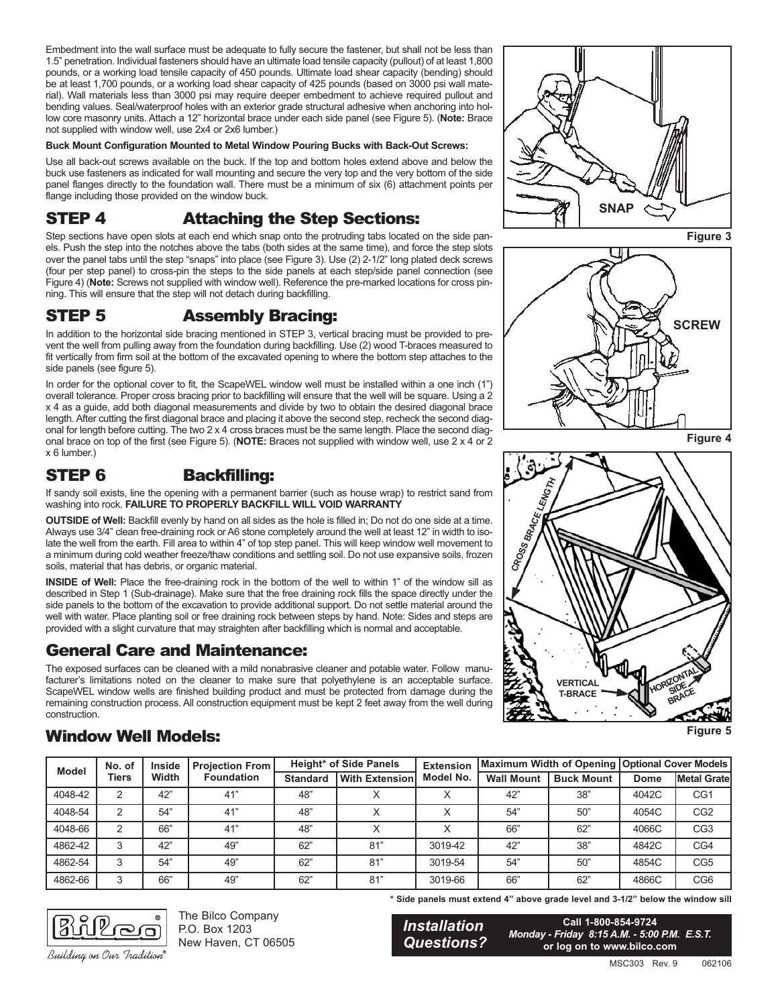Embedment into the wall surface must be adequate to fully secure the fastener, but shall not be less than 1.5" penetration. Individual fasteners should have an ultimate load tensile capacity (pullout) of at least 1,800 pounds, or a working load tensile capacity of 450 pounds. Ultimate load shear capacity (bending) should be at least 1,700 pounds, or a working load shear capacity of 425 pounds (based on 3000 psi wall material). Wall materials less than 3000 psi may require deeper embedment to achieve required pullout and bending values. Seal/waterproof holes with an exterior grade structural adhesive when anchoring into hollow core masonry units. Attach a 12" horizontal brace under each side panel (see Figure 5). (**Note:** Brace not supplied with window well, use 2x4 or 2x6 lumber.)

## **Buck Mount Configuration Mounted to Metal Window Pouring Bucks with Back-Out Screws:**

Use all back-out screws available on the buck. If the top and bottom holes extend above and below the buck use fasteners as indicated for wall mounting and secure the very top and the very bottom of the side panel flanges directly to the foundation wall. There must be a minimum of six (6) attachment points per flange including those provided on the window buck.

# STEP 4 Attaching the Step Sections:

Step sections have open slots at each end which snap onto the protruding tabs located on the side panels. Push the step into the notches above the tabs (both sides at the same time), and force the step slots over the panel tabs until the step "snaps" into place (see Figure 3). Use (2) 2-1/2" long plated deck screws (four per step panel) to cross-pin the steps to the side panels at each step/side panel connection (see Figure 4) (**Note:** Screws not supplied with window well). Reference the pre-marked locations for cross pinning. This will ensure that the step will not detach during backfilling.

## STEP 5 Assembly Bracing:

In addition to the horizontal side bracing mentioned in STEP 3, vertical bracing must be provided to prevent the well from pulling away from the foundation during backfilling. Use (2) wood T-braces measured to fit vertically from firm soil at the bottom of the excavated opening to where the bottom step attaches to the side panels (see figure 5).

In order for the optional cover to fit, the ScapeWEL window well must be installed within a one inch (1") overall tolerance. Proper cross bracing prior to backfilling will ensure that the well will be square. Using a 2 x 4 as a guide, add both diagonal measurements and divide by two to obtain the desired diagonal brace length. After cutting the first diagonal brace and placing it above the second step, recheck the second diagonal for length before cutting. The two 2 x 4 cross braces must be the same length. Place the second diagonal brace on top of the first (see Figure 5). (**NOTE:** Braces not supplied with window well, use 2 x 4 or 2 x 6 lumber.)

# STEP 6 Backfilling:

If sandy soil exists, line the opening with a permanent barrier (such as house wrap) to restrict sand from washing into rock. **FAILURE TO PROPERLY BACKFILL WILL VOID WARRANTY**

**OUTSIDE of Well:** Backfill evenly by hand on all sides as the hole is filled in; Do not do one side at a time. Always use 3/4" clean free-draining rock or A6 stone completely around the well at least 12" in width to isolate the well from the earth. Fill area to within 4" of top step panel. This will keep window well movement to a minimum during cold weather freeze/thaw conditions and settling soil. Do not use expansive soils, frozen soils, material that has debris, or organic material.

**INSIDE of Well:** Place the free-draining rock in the bottom of the well to within 1" of the window sill as described in Step 1 (Sub-drainage). Make sure that the free draining rock fills the space directly under the side panels to the bottom of the excavation to provide additional support. Do not settle material around the well with water. Place planting soil or free draining rock between steps by hand. Note: Sides and steps are provided with a slight curvature that may straighten after backfilling which is normal and acceptable.

## General Care and Maintenance:

The exposed surfaces can be cleaned with a mild nonabrasive cleaner and potable water. Follow manufacturer's limitations noted on the cleaner to make sure that polyethylene is an acceptable surface. ScapeWEL window wells are finished building product and must be protected from damage during the remaining construction process. All construction equipment must be kept 2 feet away from the well during construction.



**Figure 3**







**Figure 5**

# Window Well Models:

| <b>Model</b> | No. of<br><b>Tiers</b> | <b>Inside</b><br>Width | <b>Projection From</b><br><b>Foundation</b> | <b>Height* of Side Panels</b> |                       | <b>Extension</b> |                   |                   | Maximum Width of Opening   Optional Cover Models |                     |
|--------------|------------------------|------------------------|---------------------------------------------|-------------------------------|-----------------------|------------------|-------------------|-------------------|--------------------------------------------------|---------------------|
|              |                        |                        |                                             | <b>Standard</b>               | <b>With Extension</b> | Model No.        | <b>Wall Mount</b> | <b>Buck Mount</b> | <b>Dome</b>                                      | <b>Metal Gratel</b> |
| 4048-42      | ົ                      | 42"                    | 41"                                         | 48"                           |                       |                  | 42"               | 38"               | 4042C                                            | CG1                 |
| 4048-54      | 2                      | 54"                    | 41"                                         | 48"                           |                       |                  | 54"               | 50"               | 4054C                                            | CG <sub>2</sub>     |
| 4048-66      | っ                      | 66"                    | 41"                                         | 48"                           |                       |                  | 66"               | 62"               | 4066C                                            | CG <sub>3</sub>     |
| 4862-42      | 3                      | 42"                    | 49"                                         | 62"                           | 81"                   | 3019-42          | 42"               | 38"               | 4842C                                            | CG4                 |
| 4862-54      | 3                      | 54"                    | 49"                                         | 62"                           | 81"                   | 3019-54          | 54"               | 50"               | 4854C                                            | CG <sub>5</sub>     |
| 4862-66      | 3                      | 66"                    | 49"                                         | 62"                           | 81"                   | 3019-66          | 66"               | 62"               | 4866C                                            | CG <sub>6</sub>     |



The Bilco Company P.O. Box 1203 New Haven, CT 06505 **\* Side panels must extend 4" above grade level and 3-1/2" below the window sill**

*Installation Questions?*

**Call 1-800-854-9724** *Monday - Friday 8:15 A.M. - 5:00 P.M. E.S.T.* **or log on to www.bilco.com**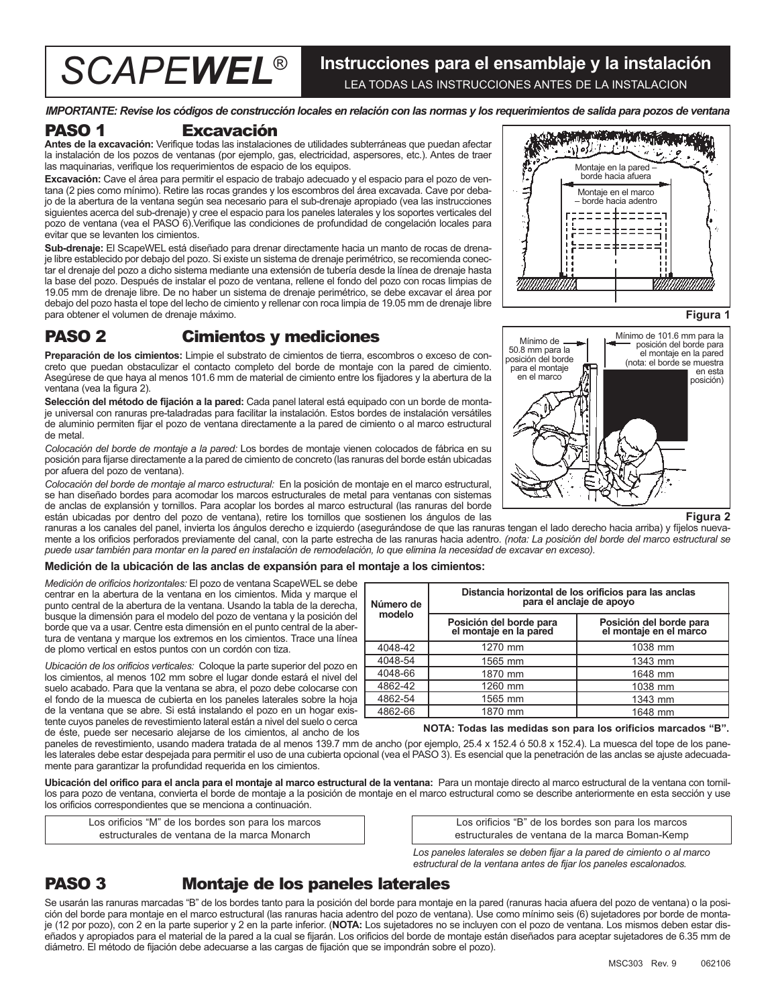## *SCAPEWEL*® **Instrucciones para el ensamblaje y la instalación** LEA TODAS LAS INSTRUCCIONES ANTES DE LA INSTALACION

*IMPORTANTE: Revise los códigos de construcción locales en relación con las normas y los requerimientos de salida para pozos de ventana*

## PASO 1 Excavación

**Antes de la excavación:** Verifique todas las instalaciones de utilidades subterráneas que puedan afectar la instalación de los pozos de ventanas (por ejemplo, gas, electricidad, aspersores, etc.). Antes de traer las maquinarias, verifique los requerimientos de espacio de los equipos.

**Excavación:** Cave el área para permitir el espacio de trabajo adecuado y el espacio para el pozo de ventana (2 pies como mínimo). Retire las rocas grandes y los escombros del área excavada. Cave por debajo de la abertura de la ventana según sea necesario para el sub-drenaje apropiado (vea las instrucciones siguientes acerca del sub-drenaje) y cree el espacio para los paneles laterales y los soportes verticales del pozo de ventana (vea el PASO 6).Verifique las condiciones de profundidad de congelación locales para evitar que se levanten los cimientos.

**Sub-drenaje:** El ScapeWEL está diseñado para drenar directamente hacia un manto de rocas de drenaje libre establecido por debajo del pozo. Si existe un sistema de drenaje perimétrico, se recomienda conectar el drenaje del pozo a dicho sistema mediante una extensión de tubería desde la línea de drenaje hasta la base del pozo. Después de instalar el pozo de ventana, rellene el fondo del pozo con rocas limpias de 19.05 mm de drenaje libre. De no haber un sistema de drenaje perimétrico, se debe excavar el área por debajo del pozo hasta el tope del lecho de cimiento y rellenar con roca limpia de 19.05 mm de drenaje libre para obtener el volumen de drenaje máximo.

## PASO 2 Cimientos y mediciones

**Preparación de los cimientos:** Limpie el substrato de cimientos de tierra, escombros o exceso de concreto que puedan obstaculizar el contacto completo del borde de montaje con la pared de cimiento. Asegúrese de que haya al menos 101.6 mm de material de cimiento entre los fijadores y la abertura de la ventana (vea la figura 2).

**Selección del método de fijación a la pared:** Cada panel lateral está equipado con un borde de montaje universal con ranuras pre-taladradas para facilitar la instalación. Estos bordes de instalación versátiles de aluminio permiten fijar el pozo de ventana directamente a la pared de cimiento o al marco estructural de metal.

*Colocación del borde de montaje a la pared:* Los bordes de montaje vienen colocados de fábrica en su posición para fijarse directamente a la pared de cimiento de concreto (las ranuras del borde están ubicadas por afuera del pozo de ventana).

*Colocación del borde de montaje al marco estructural:* En la posición de montaje en el marco estructural, se han diseñado bordes para acomodar los marcos estructurales de metal para ventanas con sistemas de anclas de explansión y tornillos. Para acoplar los bordes al marco estructural (las ranuras del borde están ubicadas por dentro del pozo de ventana), retire los tornillos que sostienen los ángulos de las

ranuras a los canales del panel, invierta los ángulos derecho e izquierdo (asegurándose de que las ranuras tengan el lado derecho hacia arriba) y fíjelos nuevamente a los orificios perforados previamente del canal, con la parte estrecha de las ranuras hacia adentro. *(nota: La posición del borde del marco estructural se puede usar también para montar en la pared en instalación de remodelación, lo que elimina la necesidad de excavar en exceso).*

## **Medición de la ubicación de las anclas de expansión para el montaje a los cimientos:**

*Medición de orificios horizontales:* El pozo de ventana ScapeWEL se debe centrar en la abertura de la ventana en los cimientos. Mida y marque el punto central de la abertura de la ventana. Usando la tabla de la derecha, busque la dimensión para el modelo del pozo de ventana y la posición del borde que va a usar. Centre esta dimensión en el punto central de la abertura de ventana y marque los extremos en los cimientos. Trace una línea de plomo vertical en estos puntos con un cordón con tiza.

*Ubicación de los orificios verticales:* Coloque la parte superior del pozo en los cimientos, al menos 102 mm sobre el lugar donde estará el nivel del suelo acabado. Para que la ventana se abra, el pozo debe colocarse con el fondo de la muesca de cubierta en los paneles laterales sobre la hoja de la ventana que se abre. Si está instalando el pozo en un hogar existente cuyos paneles de revestimiento lateral están a nivel del suelo o cerca de éste, puede ser necesario alejarse de los cimientos, al ancho de los

**Distancia horizontal de los orificios para las anclas para el anclaje de apoyo Posición del borde para el montaje en la pared Posición del borde para el montaje en el marco Número de modelo** 4048-42 4048-54 4048-66 4862-42 4862-54 4862-66 1270 mm 1565 mm 1870 mm 1260 mm 1565 mm 1870 mm 1038 mm 1343 mm 1648 mm 1038 mm 1343 mm 1648 mm

#### **NOTA: Todas las medidas son para los orificios marcados "B".**

paneles de revestimiento, usando madera tratada de al menos 139.7 mm de ancho (por ejemplo, 25.4 x 152.4 ó 50.8 x 152.4). La muesca del tope de los paneles laterales debe estar despejada para permitir el uso de una cubierta opcional (vea el PASO 3). Es esencial que la penetración de las anclas se ajuste adecuadamente para garantizar la profundidad requerida en los cimientos.

**Ubicación del orifico para el ancla para el montaje al marco estructural de la ventana:** Para un montaje directo al marco estructural de la ventana con tornillos para pozo de ventana, convierta el borde de montaje a la posición de montaje en el marco estructural como se describe anteriormente en esta sección y use los orificios correspondientes que se menciona a continuación.

Los orificios "M" de los bordes son para los marcos estructurales de ventana de la marca Monarch

Los orificios "B" de los bordes son para los marcos estructurales de ventana de la marca Boman-Kemp

*Los paneles laterales se deben fijar a la pared de cimiento o al marco estructural de la ventana antes de fijar los paneles escalonados.*

# PASO 3 Montaje de los paneles laterales

Se usarán las ranuras marcadas "B" de los bordes tanto para la posición del borde para montaje en la pared (ranuras hacia afuera del pozo de ventana) o la posición del borde para montaje en el marco estructural (las ranuras hacia adentro del pozo de ventana). Use como mínimo seis (6) sujetadores por borde de montaje (12 por pozo), con 2 en la parte superior y 2 en la parte inferior. (**NOTA:** Los sujetadores no se incluyen con el pozo de ventana. Los mismos deben estar diseñados y apropiados para el material de la pared a la cual se fijarán. Los orificios del borde de montaje están diseñados para aceptar sujetadores de 6.35 mm de diámetro. El método de fijación debe adecuarse a las cargas de fijación que se impondrán sobre el pozo).





#### **Figura 2**

**Figura 1**